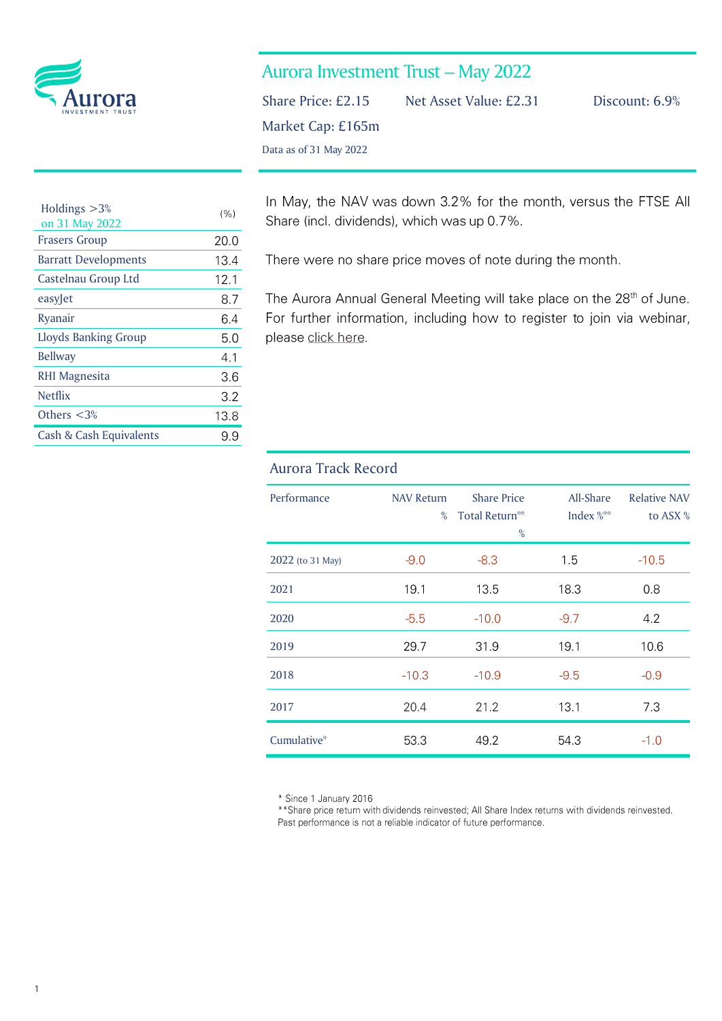

| <b>Aurora Investment Trust - May 2022</b> |  |  |  |
|-------------------------------------------|--|--|--|
|-------------------------------------------|--|--|--|

Market Cap: £165m

Data as of 31 May 2022

Share Price: £2.15 Net Asset Value: £2.31 Discount: 6.9%

| Holdings $>3%$<br>on 31 May 2022 | (%)  |
|----------------------------------|------|
| <b>Frasers Group</b>             | 20.0 |
| <b>Barratt Developments</b>      | 13.4 |
| Castelnau Group Ltd              | 12.1 |
| easyJet                          | 8.7  |
| Ryanair                          | 6.4  |
| <b>Lloyds Banking Group</b>      | 5.0  |
| <b>Bellway</b>                   | 4.1  |
| RHI Magnesita                    | 3.6  |
| <b>Netflix</b>                   | 3.2  |
| Others $<$ 3%                    | 13.8 |
| Cash & Cash Equivalents          | 9.9  |

In May, the NAV was down 3.2% for the month, versus the FTSE All Share (incl. dividends), which was up 0.7%.

There were no share price moves of note during the month.

The Aurora Annual General Meeting will take place on the 28<sup>th</sup> of June. For further information, including how to register to join via webinar, please click here.

## Aurora Track Record

| Performance      | <b>NAV Return</b><br>% | <b>Share Price</b><br>Total Return <sup>**</sup><br>% | All-Share<br>Index $\frac{8}{10}$ | <b>Relative NAV</b><br>to ASX % |
|------------------|------------------------|-------------------------------------------------------|-----------------------------------|---------------------------------|
| 2022 (to 31 May) | $-9.0$                 | $-8.3$                                                | 1.5                               | $-10.5$                         |
| 2021             | 19.1                   | 13.5                                                  | 18.3                              | 0.8                             |
| 2020             | $-5.5$                 | $-10.0$                                               | $-9.7$                            | 42                              |
| 2019             | 29.7                   | 31.9                                                  | 19.1                              | 10.6                            |
| 2018             | $-10.3$                | $-10.9$                                               | $-9.5$                            | $-0.9$                          |
| 2017             | 20.4                   | 21.2                                                  | 13.1                              | 7.3                             |
| Cumulative*      | 53.3                   | 49.2                                                  | 54.3                              | $-1.0$                          |

\* Since 1 January 2016

\*\* Share price return with dividends reinvested; All Share Index returns with dividends reinvested. Past performance is not a reliable indicator of future performance.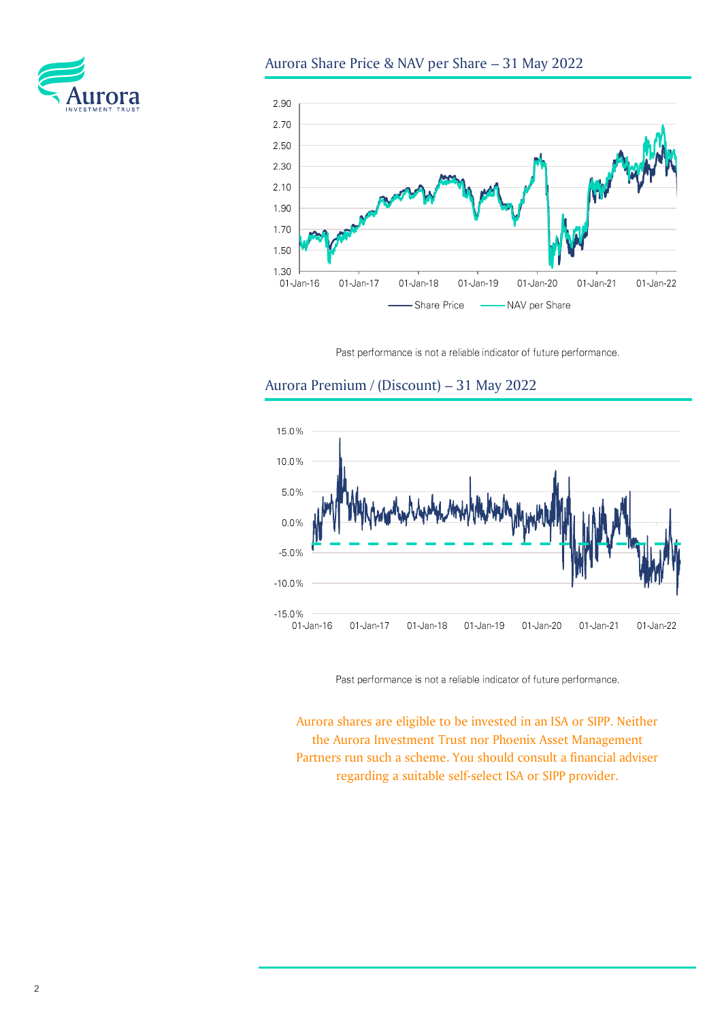



Past performance is not a reliable indicator of future performance.

# Aurora Premium / (Discount) – 31 May 2022



Past performance is not a reliable indicator of future performance.

Aurora shares are eligible to be invested in an ISA or SIPP. Neither the Aurora Investment Trust nor Phoenix Asset Management Partners run such a scheme. You should consult a financial adviser regarding a suitable self-select ISA or SIPP provider.